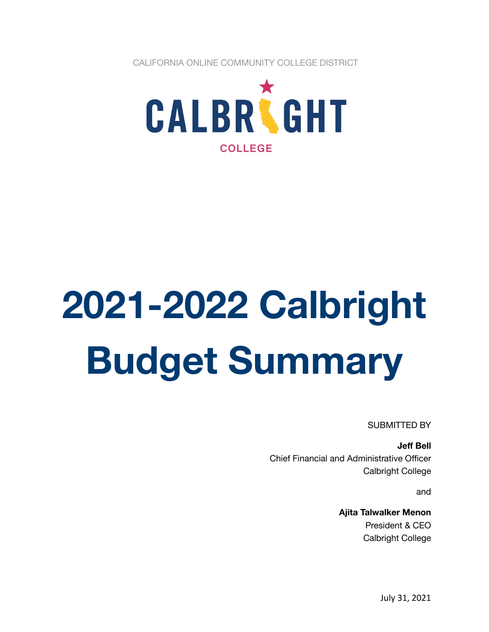CALIFORNIA ONLINE COMMUNITY COLLEGE DISTRICT



# **2021-2022 Calbright Budget Summary**

SUBMITTED BY

**Jeff Bell** Chief Financial and Administrative Officer Calbright College

and

**Ajita Talwalker Menon** President & CEO Calbright College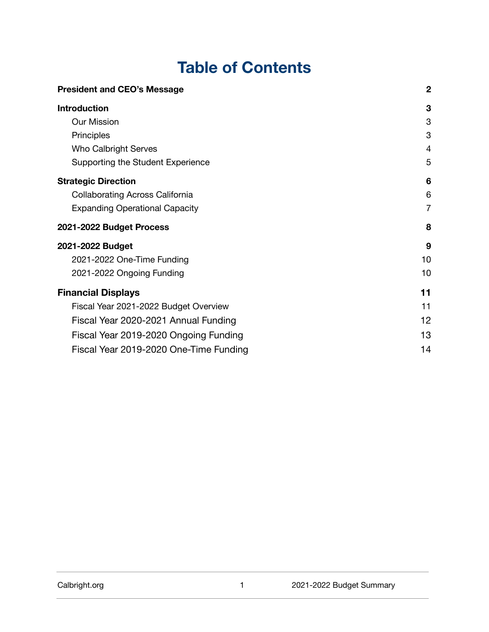# **Table of Contents**

| <b>President and CEO's Message</b>     | $\boldsymbol{2}$ |
|----------------------------------------|------------------|
| <b>Introduction</b>                    | 3                |
| Our Mission                            | 3                |
| Principles                             | 3                |
| Who Calbright Serves                   | 4                |
| Supporting the Student Experience      | 5                |
| <b>Strategic Direction</b>             | 6                |
| <b>Collaborating Across California</b> | 6                |
| <b>Expanding Operational Capacity</b>  | 7                |
| 2021-2022 Budget Process               | 8                |
| 2021-2022 Budget                       | 9                |
| 2021-2022 One-Time Funding             | 10               |
| 2021-2022 Ongoing Funding              | 10               |
| <b>Financial Displays</b>              | 11               |
| Fiscal Year 2021-2022 Budget Overview  | 11               |
| Fiscal Year 2020-2021 Annual Funding   | 12               |
| Fiscal Year 2019-2020 Ongoing Funding  | 13               |
| Fiscal Year 2019-2020 One-Time Funding | 14               |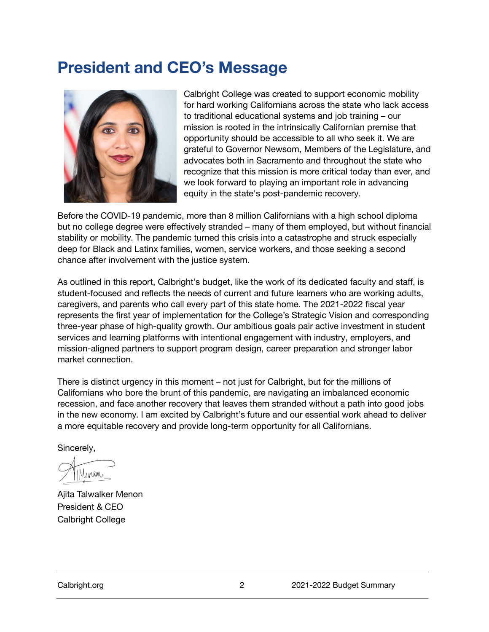# <span id="page-2-0"></span>**President and CEO's Message**



Calbright College was created to support economic mobility for hard working Californians across the state who lack access to traditional educational systems and job training – our mission is rooted in the intrinsically Californian premise that opportunity should be accessible to all who seek it. We are grateful to Governor Newsom, Members of the Legislature, and advocates both in Sacramento and throughout the state who recognize that this mission is more critical today than ever, and we look forward to playing an important role in advancing equity in the state's post-pandemic recovery.

Before the COVID-19 pandemic, more than 8 million Californians with a high school diploma but no college degree were effectively stranded – many of them employed, but without financial stability or mobility. The pandemic turned this crisis into a catastrophe and struck especially deep for Black and Latinx families, women, service workers, and those seeking a second chance after involvement with the justice system.

As outlined in this report, Calbright's budget, like the work of its dedicated faculty and staff, is student-focused and reflects the needs of current and future learners who are working adults, caregivers, and parents who call every part of this state home. The 2021-2022 fiscal year represents the first year of implementation for the College's Strategic Vision and corresponding three-year phase of high-quality growth. Our ambitious goals pair active investment in student services and learning platforms with intentional engagement with industry, employers, and mission-aligned partners to support program design, career preparation and stronger labor market connection.

There is distinct urgency in this moment – not just for Calbright, but for the millions of Californians who bore the brunt of this pandemic, are navigating an imbalanced economic recession, and face another recovery that leaves them stranded without a path into good jobs in the new economy. I am excited by Calbright's future and our essential work ahead to deliver a more equitable recovery and provide long-term opportunity for all Californians.

Sincerely,

Ajita Talwalker Menon President & CEO Calbright College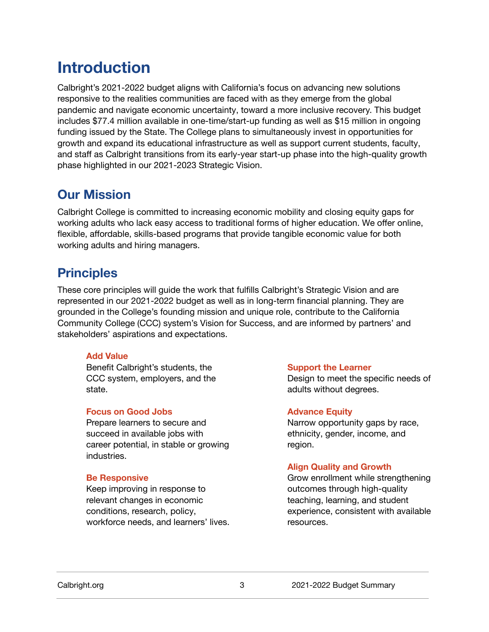# <span id="page-3-0"></span>**Introduction**

Calbright's 2021-2022 budget aligns with California's focus on advancing new solutions responsive to the realities communities are faced with as they emerge from the global pandemic and navigate economic uncertainty, toward a more inclusive recovery. This budget includes \$77.4 million available in one-time/start-up funding as well as \$15 million in ongoing funding issued by the State. The College plans to simultaneously invest in opportunities for growth and expand its educational infrastructure as well as support current students, faculty, and staff as Calbright transitions from its early-year start-up phase into the high-quality growth phase highlighted in our 2021-2023 Strategic Vision.

#### <span id="page-3-1"></span>**Our Mission**

Calbright College is committed to increasing economic mobility and closing equity gaps for working adults who lack easy access to traditional forms of higher education. We offer online, flexible, affordable, skills-based programs that provide tangible economic value for both working adults and hiring managers.

#### <span id="page-3-2"></span>**Principles**

These core principles will guide the work that fulfills Calbright's Strategic Vision and are represented in our 2021-2022 budget as well as in long-term financial planning. They are grounded in the College's founding mission and unique role, contribute to the California Community College (CCC) system's Vision for Success, and are informed by partners' and stakeholders' aspirations and expectations.

#### **Add Value**

Benefit Calbright's students, the CCC system, employers, and the state.

#### **Focus on Good Jobs**

Prepare learners to secure and succeed in available jobs with career potential, in stable or growing industries.

#### **Be Responsive**

Keep improving in response to relevant changes in economic conditions, research, policy, workforce needs, and learners' lives.

#### **Support the Learner**

Design to meet the specific needs of adults without degrees.

#### **Advance Equity**

Narrow opportunity gaps by race, ethnicity, gender, income, and region.

#### **Align Quality and Growth**

Grow enrollment while strengthening outcomes through high-quality teaching, learning, and student experience, consistent with available resources.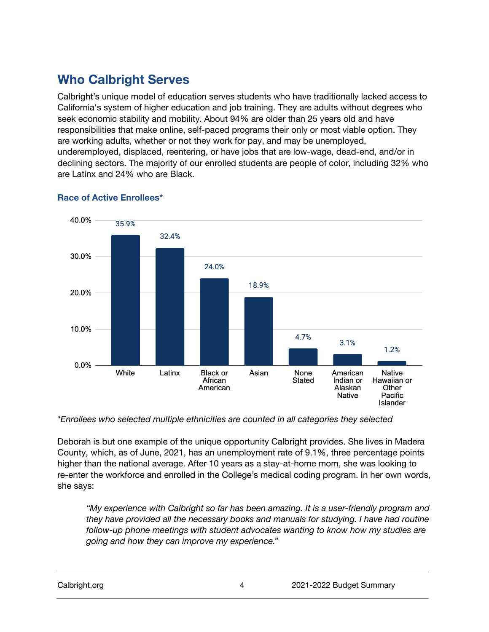## <span id="page-4-0"></span>**Who Calbright Serves**

Calbright's unique model of education serves students who have traditionally lacked access to California's system of higher education and job training. They are adults without degrees who seek economic stability and mobility. About 94% are older than 25 years old and have responsibilities that make online, self-paced programs their only or most viable option. They are working adults, whether or not they work for pay, and may be unemployed, underemployed, displaced, reentering, or have jobs that are low-wage, dead-end, and/or in declining sectors. The majority of our enrolled students are people of color, including 32% who are Latinx and 24% who are Black.



#### **Race of Active Enrollees\***

*\*Enrollees who selected multiple ethnicities are counted in all categories they selected*

Deborah is but one example of the unique opportunity Calbright provides. She lives in Madera County, which, as of June, 2021, has an unemployment rate of 9.1%, three percentage points higher than the national average. After 10 years as a stay-at-home mom, she was looking to re-enter the workforce and enrolled in the College's medical coding program. In her own words, she says:

*"My experience with Calbright so far has been amazing. It is a user-friendly program and they have provided all the necessary books and manuals for studying. I have had routine follow-up phone meetings with student advocates wanting to know how my studies are going and how they can improve my experience."*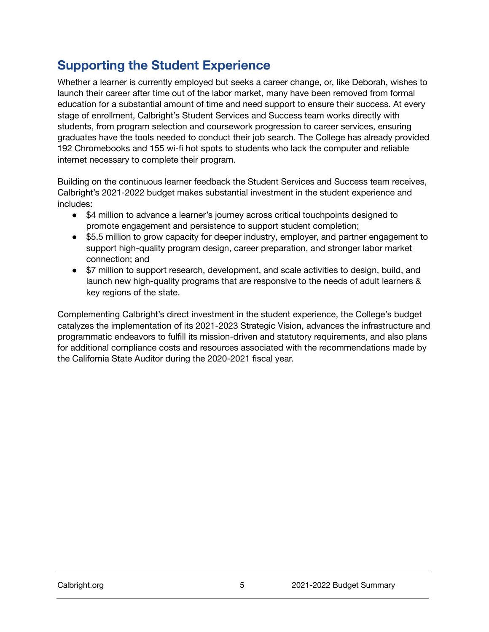### <span id="page-5-0"></span>**Supporting the Student Experience**

Whether a learner is currently employed but seeks a career change, or, like Deborah, wishes to launch their career after time out of the labor market, many have been removed from formal education for a substantial amount of time and need support to ensure their success. At every stage of enrollment, Calbright's Student Services and Success team works directly with students, from program selection and coursework progression to career services, ensuring graduates have the tools needed to conduct their job search. The College has already provided 192 Chromebooks and 155 wi-fi hot spots to students who lack the computer and reliable internet necessary to complete their program.

Building on the continuous learner feedback the Student Services and Success team receives, Calbright's 2021-2022 budget makes substantial investment in the student experience and includes:

- \$4 million to advance a learner's journey across critical touchpoints designed to promote engagement and persistence to support student completion;
- \$5.5 million to grow capacity for deeper industry, employer, and partner engagement to support high-quality program design, career preparation, and stronger labor market connection; and
- \$7 million to support research, development, and scale activities to design, build, and launch new high-quality programs that are responsive to the needs of adult learners & key regions of the state.

Complementing Calbright's direct investment in the student experience, the College's budget catalyzes the implementation of its 2021-2023 Strategic Vision, advances the infrastructure and programmatic endeavors to fulfill its mission-driven and statutory requirements, and also plans for additional compliance costs and resources associated with the recommendations made by the California State Auditor during the 2020-2021 fiscal year.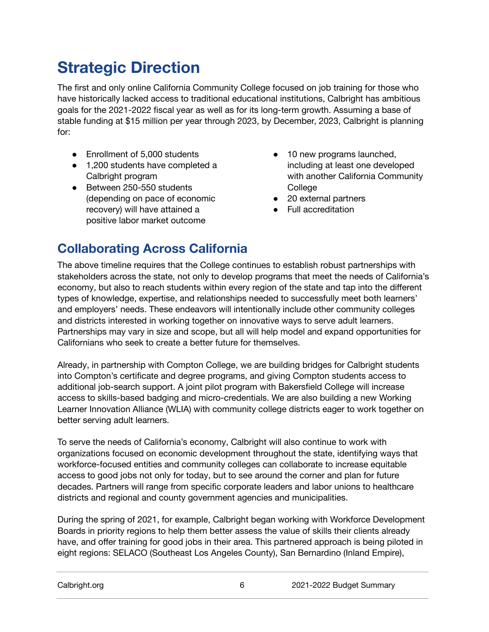# <span id="page-6-0"></span>**Strategic Direction**

The first and only online California Community College focused on job training for those who have historically lacked access to traditional educational institutions, Calbright has ambitious goals for the 2021-2022 fiscal year as well as for its long-term growth. Assuming a base of stable funding at \$15 million per year through 2023, by December, 2023, Calbright is planning for:

- Enrollment of 5,000 students
- 1,200 students have completed a Calbright program
- Between 250-550 students (depending on pace of economic recovery) will have attained a positive labor market outcome
- 10 new programs launched, including at least one developed with another California Community **College**
- 20 external partners
- Full accreditation

## <span id="page-6-1"></span>**Collaborating Across California**

The above timeline requires that the College continues to establish robust partnerships with stakeholders across the state, not only to develop programs that meet the needs of California's economy, but also to reach students within every region of the state and tap into the different types of knowledge, expertise, and relationships needed to successfully meet both learners' and employers' needs. These endeavors will intentionally include other community colleges and districts interested in working together on innovative ways to serve adult learners. Partnerships may vary in size and scope, but all will help model and expand opportunities for Californians who seek to create a better future for themselves.

Already, in partnership with Compton College, we are building bridges for Calbright students into Compton's certificate and degree programs, and giving Compton students access to additional job-search support. A joint pilot program with Bakersfield College will increase access to skills-based badging and micro-credentials. We are also building a new Working Learner Innovation Alliance (WLIA) with community college districts eager to work together on better serving adult learners.

To serve the needs of California's economy, Calbright will also continue to work with organizations focused on economic development throughout the state, identifying ways that workforce-focused entities and community colleges can collaborate to increase equitable access to good jobs not only for today, but to see around the corner and plan for future decades. Partners will range from specific corporate leaders and labor unions to healthcare districts and regional and county government agencies and municipalities.

During the spring of 2021, for example, Calbright began working with Workforce Development Boards in priority regions to help them better assess the value of skills their clients already have, and offer training for good jobs in their area. This partnered approach is being piloted in eight regions: SELACO (Southeast Los Angeles County), San Bernardino (Inland Empire),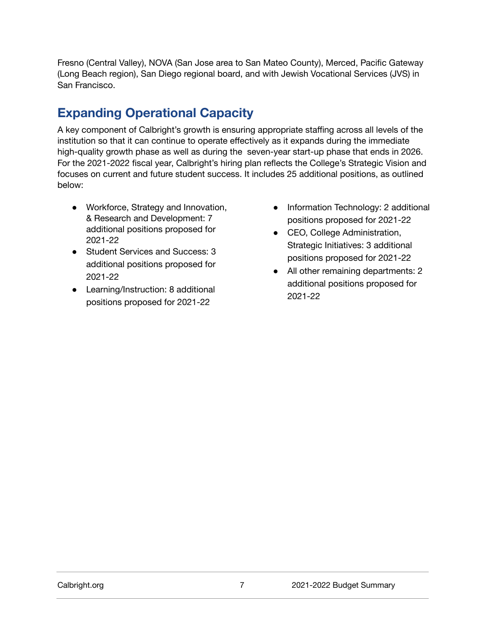Fresno (Central Valley), NOVA (San Jose area to San Mateo County), Merced, Pacific Gateway (Long Beach region), San Diego regional board, and with Jewish Vocational Services (JVS) in San Francisco.

## <span id="page-7-0"></span>**Expanding Operational Capacity**

A key component of Calbright's growth is ensuring appropriate staffing across all levels of the institution so that it can continue to operate effectively as it expands during the immediate high-quality growth phase as well as during the seven-year start-up phase that ends in 2026. For the 2021-2022 fiscal year, Calbright's hiring plan reflects the College's Strategic Vision and focuses on current and future student success. It includes 25 additional positions, as outlined below:

- Workforce, Strategy and Innovation, & Research and Development: 7 additional positions proposed for 2021-22
- Student Services and Success: 3 additional positions proposed for 2021-22
- Learning/Instruction: 8 additional positions proposed for 2021-22
- Information Technology: 2 additional positions proposed for 2021-22
- CEO, College Administration, Strategic Initiatives: 3 additional positions proposed for 2021-22
- All other remaining departments: 2 additional positions proposed for 2021-22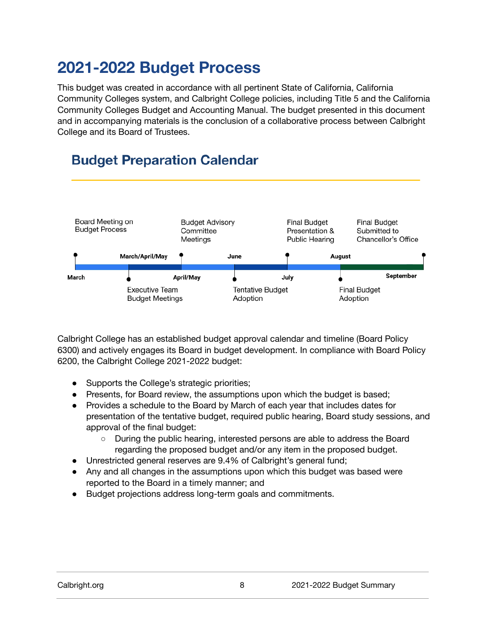# <span id="page-8-0"></span>**2021-2022 Budget Process**

This budget was created in accordance with all pertinent State of California, California Community Colleges system, and Calbright College policies, including Title 5 and the California Community Colleges Budget and Accounting Manual. The budget presented in this document and in accompanying materials is the conclusion of a collaborative process between Calbright College and its Board of Trustees.

## **Budget Preparation Calendar**



Calbright College has an established budget approval calendar and timeline (Board Policy 6300) and actively engages its Board in budget development. In compliance with Board Policy 6200, the Calbright College 2021-2022 budget:

- Supports the College's strategic priorities;
- Presents, for Board review, the assumptions upon which the budget is based;
- Provides a schedule to the Board by March of each year that includes dates for presentation of the tentative budget, required public hearing, Board study sessions, and approval of the final budget:
	- During the public hearing, interested persons are able to address the Board regarding the proposed budget and/or any item in the proposed budget.
- Unrestricted general reserves are 9.4% of Calbright's general fund;
- Any and all changes in the assumptions upon which this budget was based were reported to the Board in a timely manner; and
- Budget projections address long-term goals and commitments.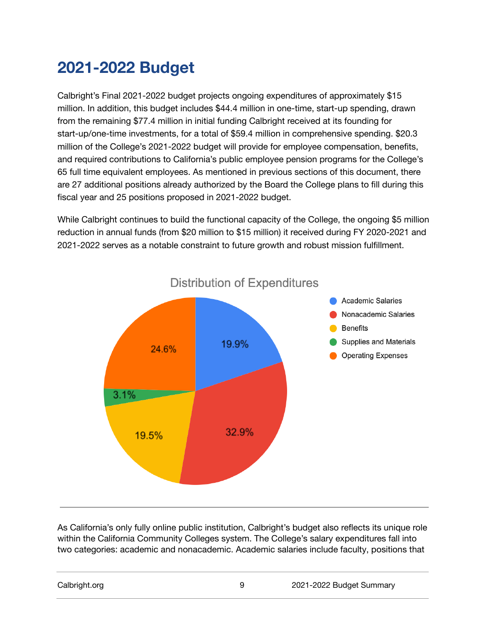# <span id="page-9-0"></span>**2021-2022 Budget**

Calbright's Final 2021-2022 budget projects ongoing expenditures of approximately \$15 million. In addition, this budget includes \$44.4 million in one-time, start-up spending, drawn from the remaining \$77.4 million in initial funding Calbright received at its founding for start-up/one-time investments, for a total of \$59.4 million in comprehensive spending. \$20.3 million of the College's 2021-2022 budget will provide for employee compensation, benefits, and required contributions to California's public employee pension programs for the College's 65 full time equivalent employees. As mentioned in previous sections of this document, there are 27 additional positions already authorized by the Board the College plans to fill during this fiscal year and 25 positions proposed in 2021-2022 budget.

While Calbright continues to build the functional capacity of the College, the ongoing \$5 million reduction in annual funds (from \$20 million to \$15 million) it received during FY 2020-2021 and 2021-2022 serves as a notable constraint to future growth and robust mission fulfillment.



As California's only fully online public institution, Calbright's budget also reflects its unique role within the California Community Colleges system. The College's salary expenditures fall into two categories: academic and nonacademic. Academic salaries include faculty, positions that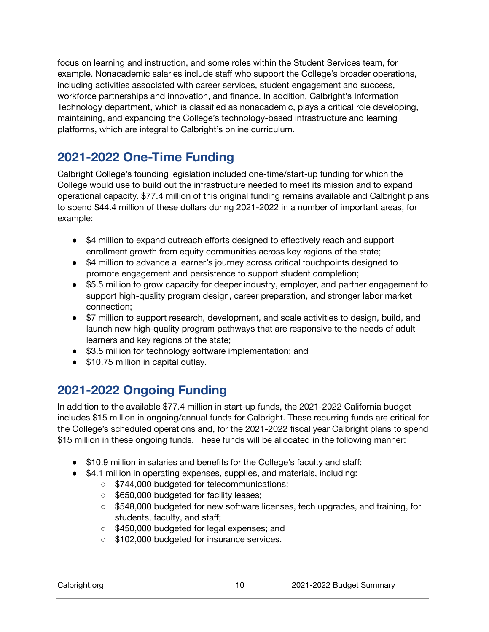focus on learning and instruction, and some roles within the Student Services team, for example. Nonacademic salaries include staff who support the College's broader operations, including activities associated with career services, student engagement and success, workforce partnerships and innovation, and finance. In addition, Calbright's Information Technology department, which is classified as nonacademic, plays a critical role developing, maintaining, and expanding the College's technology-based infrastructure and learning platforms, which are integral to Calbright's online curriculum.

### <span id="page-10-0"></span>**2021-2022 One-Time Funding**

Calbright College's founding legislation included one-time/start-up funding for which the College would use to build out the infrastructure needed to meet its mission and to expand operational capacity. \$77.4 million of this original funding remains available and Calbright plans to spend \$44.4 million of these dollars during 2021-2022 in a number of important areas, for example:

- \$4 million to expand outreach efforts designed to effectively reach and support enrollment growth from equity communities across key regions of the state;
- \$4 million to advance a learner's journey across critical touchpoints designed to promote engagement and persistence to support student completion;
- \$5.5 million to grow capacity for deeper industry, employer, and partner engagement to support high-quality program design, career preparation, and stronger labor market connection;
- \$7 million to support research, development, and scale activities to design, build, and launch new high-quality program pathways that are responsive to the needs of adult learners and key regions of the state;
- \$3.5 million for technology software implementation; and
- \$10.75 million in capital outlay.

#### <span id="page-10-1"></span>**2021-2022 Ongoing Funding**

In addition to the available \$77.4 million in start-up funds, the 2021-2022 California budget includes \$15 million in ongoing/annual funds for Calbright. These recurring funds are critical for the College's scheduled operations and, for the 2021-2022 fiscal year Calbright plans to spend \$15 million in these ongoing funds. These funds will be allocated in the following manner:

- \$10.9 million in salaries and benefits for the College's faculty and staff;
- \$4.1 million in operating expenses, supplies, and materials, including:
	- \$744,000 budgeted for telecommunications;
	- \$650,000 budgeted for facility leases;
	- \$548,000 budgeted for new software licenses, tech upgrades, and training, for students, faculty, and staff;
	- \$450,000 budgeted for legal expenses; and
	- \$102,000 budgeted for insurance services.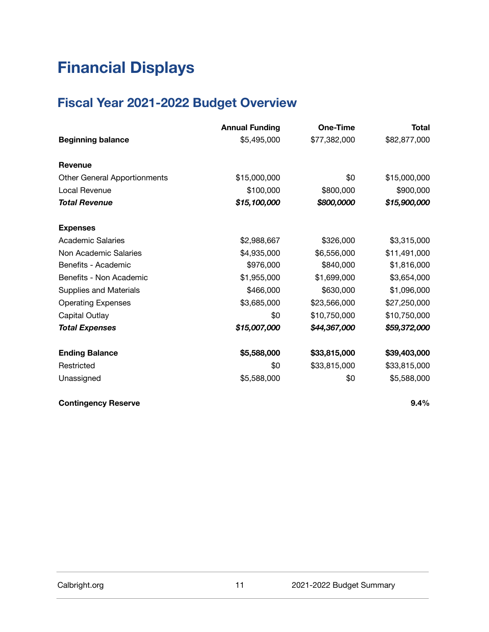# <span id="page-11-0"></span>**Financial Displays**

## <span id="page-11-1"></span>**Fiscal Year 2021-2022 Budget Overview**

|                                     | <b>Annual Funding</b> | One-Time     | Total        |
|-------------------------------------|-----------------------|--------------|--------------|
| <b>Beginning balance</b>            | \$5,495,000           | \$77,382,000 | \$82,877,000 |
| <b>Revenue</b>                      |                       |              |              |
| <b>Other General Apportionments</b> | \$15,000,000          | \$0          | \$15,000,000 |
| Local Revenue                       | \$100,000             | \$800,000    | \$900,000    |
| <b>Total Revenue</b>                | \$15,100,000          | \$800,0000   | \$15,900,000 |
| <b>Expenses</b>                     |                       |              |              |
| <b>Academic Salaries</b>            | \$2,988,667           | \$326,000    | \$3,315,000  |
| Non Academic Salaries               | \$4,935,000           | \$6,556,000  | \$11,491,000 |
| Benefits - Academic                 | \$976,000             | \$840,000    | \$1,816,000  |
| Benefits - Non Academic             | \$1,955,000           | \$1,699,000  | \$3,654,000  |
| <b>Supplies and Materials</b>       | \$466,000             | \$630,000    | \$1,096,000  |
| <b>Operating Expenses</b>           | \$3,685,000           | \$23,566,000 | \$27,250,000 |
| Capital Outlay                      | \$0                   | \$10,750,000 | \$10,750,000 |
| <b>Total Expenses</b>               | \$15,007,000          | \$44,367,000 | \$59,372,000 |
| <b>Ending Balance</b>               | \$5,588,000           | \$33,815,000 | \$39,403,000 |
| Restricted                          | \$0                   | \$33,815,000 | \$33,815,000 |
| Unassigned                          | \$5,588,000           | \$0          | \$5,588,000  |

**Contingency Reserve 9.4%**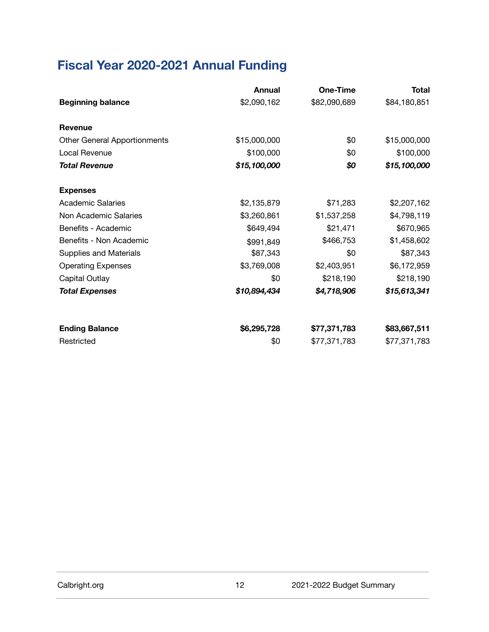# <span id="page-12-0"></span>**Fiscal Year 2020-2021 Annual Funding**

|                                     | Annual       | One-Time     | Total        |
|-------------------------------------|--------------|--------------|--------------|
| <b>Beginning balance</b>            | \$2,090,162  | \$82,090,689 | \$84,180,851 |
| <b>Revenue</b>                      |              |              |              |
| <b>Other General Apportionments</b> | \$15,000,000 | \$0          | \$15,000,000 |
| Local Revenue                       | \$100,000    | \$0          | \$100,000    |
| <b>Total Revenue</b>                | \$15,100,000 | \$0          | \$15,100,000 |
| <b>Expenses</b>                     |              |              |              |
| <b>Academic Salaries</b>            | \$2,135,879  | \$71,283     | \$2,207,162  |
| Non Academic Salaries               | \$3,260,861  | \$1,537,258  | \$4,798,119  |
| Benefits - Academic                 | \$649,494    | \$21,471     | \$670,965    |
| Benefits - Non Academic             | \$991,849    | \$466,753    | \$1,458,602  |
| <b>Supplies and Materials</b>       | \$87,343     | \$0          | \$87,343     |
| <b>Operating Expenses</b>           | \$3,769,008  | \$2,403,951  | \$6,172,959  |
| Capital Outlay                      | \$0          | \$218,190    | \$218,190    |
| <b>Total Expenses</b>               | \$10,894,434 | \$4,718,906  | \$15,613,341 |
| <b>Ending Balance</b>               | \$6,295,728  | \$77,371,783 | \$83,667,511 |
| Restricted                          | \$0          | \$77,371,783 | \$77,371,783 |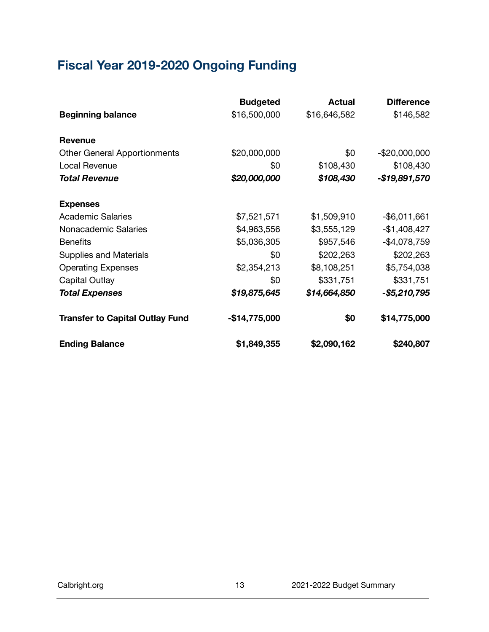# <span id="page-13-0"></span>**Fiscal Year 2019-2020 Ongoing Funding**

|                                        | <b>Budgeted</b> | <b>Actual</b> | <b>Difference</b> |
|----------------------------------------|-----------------|---------------|-------------------|
| <b>Beginning balance</b>               | \$16,500,000    | \$16,646,582  | \$146,582         |
| Revenue                                |                 |               |                   |
| <b>Other General Apportionments</b>    | \$20,000,000    | \$0           | $-$20,000,000$    |
| Local Revenue                          | \$0             | \$108,430     | \$108,430         |
| <b>Total Revenue</b>                   | \$20,000,000    | \$108,430     | -\$19,891,570     |
| <b>Expenses</b>                        |                 |               |                   |
| <b>Academic Salaries</b>               | \$7,521,571     | \$1,509,910   | $-$ \$6,011,661   |
| Nonacademic Salaries                   | \$4,963,556     | \$3,555,129   | $-$1,408,427$     |
| <b>Benefits</b>                        | \$5,036,305     | \$957,546     | $-$4,078,759$     |
| <b>Supplies and Materials</b>          | \$0             | \$202,263     | \$202,263         |
| <b>Operating Expenses</b>              | \$2,354,213     | \$8,108,251   | \$5,754,038       |
| Capital Outlay                         | \$0             | \$331,751     | \$331,751         |
| <b>Total Expenses</b>                  | \$19,875,645    | \$14,664,850  | -\$5,210,795      |
| <b>Transfer to Capital Outlay Fund</b> | -\$14,775,000   | \$0           | \$14,775,000      |
| <b>Ending Balance</b>                  | \$1,849,355     | \$2,090,162   | \$240,807         |